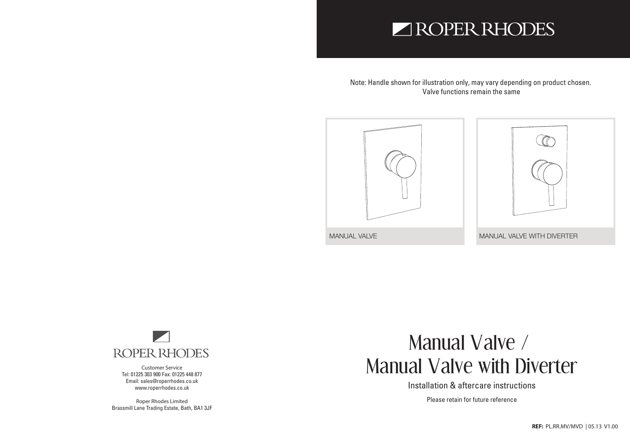## ROPER RHODES

Note: Handle shown for illustration only, may vary depending on product chosen. Valve functions remain the same





**Customer Service** Tel: 01225 303 900 Fax: 01225 448 877 Email: sales@roperrhodes.co.uk www.roperrhodes.co.uk

**Roper Rhodes Limited** Brassmill Lane Trading Estate, Bath, BA1 3JF

# Manual Valve / Manual Valve with Diverter

Installation & aftercare instructions

Please retain for future reference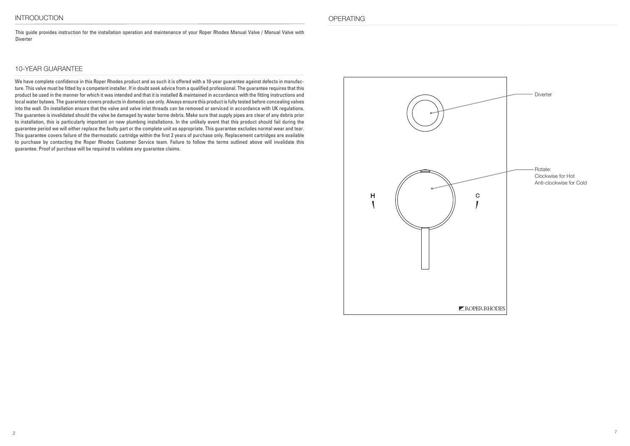This guide provides instruction for the installation operation and maintenance of your Roper Rhodes Manual Valve / Manual Valve with **Diverter** 

### 10-YEAR GUARANTEE

We have complete confidence in this Roper Rhodes product and as such it is offered with a 10-year guarantee against defects in manufacture. This valve must be fitted by a competent installer. If in doubt seek advice from a qualified professional. The guarantee requires that this product be used in the manner for which it was intended and that it is installed & maintained in accordance with the fitting instructions and local water bylaws. The guarantee covers products in domestic use only. Always ensure this product is fully tested before concealing valves into the wall. On installation ensure that the valve and valve inlet threads can be removed or serviced in accordance with UK regulations. The guarantee is invalidated should the valve be damaged by water borne debris. Make sure that supply pipes are clear of any debris prior to installation, this is particularly important on new plumbing installations. In the unlikely event that this product should fail during the guarantee period we will either replace the faulty part or the complete unit as appropriate. This guarantee excludes normal wear and tear. This guarantee covers failure of the thermostatic cartridge within the first 2 years of purchase only. Replacement cartridges are available to purchase by contacting the Roper Rhodes Customer Service team. Failure to follow the terms outlined above will invalidate this guarantee. Proof of purchase will be required to validate any guarantee claims.

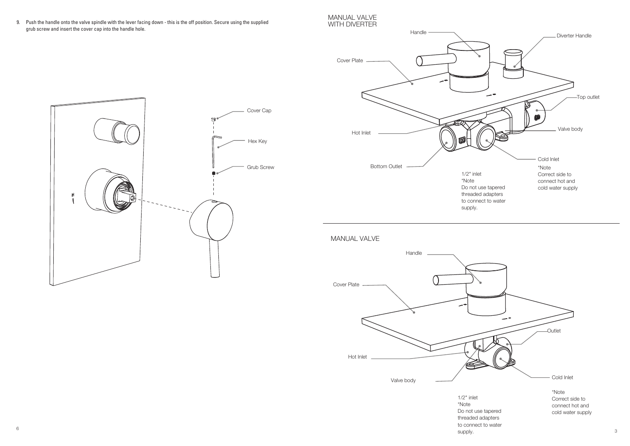9. Push the handle onto the valve spindle with the lever facing down - this is the off position. Secure using the supplied grub screw and insert the cover cap into the handle hole.

### MANUAL VALVE WITH DIVERTER





MANUAL VALVE



supply.